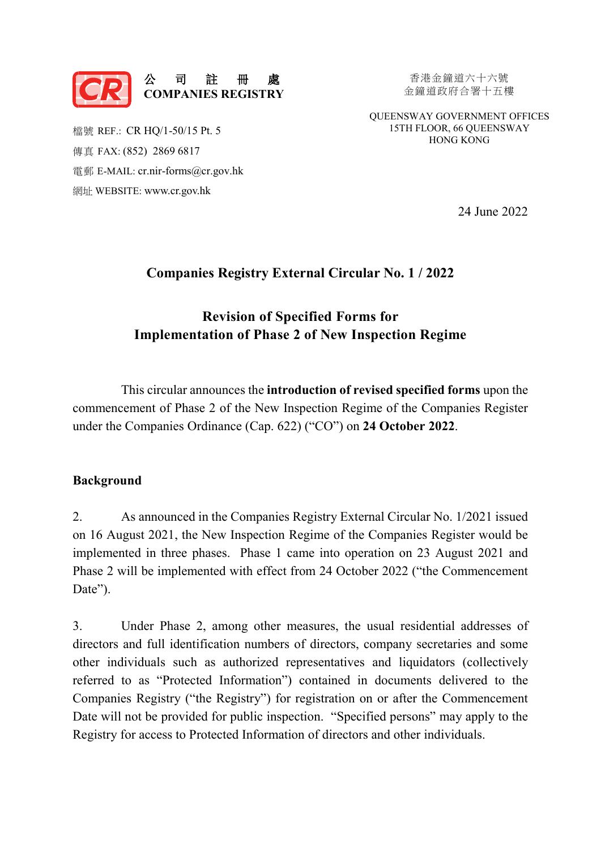

香港金鐘道六十六號 金鐘道政府合署十五樓

QUEENSWAY GOVERNMENT OFFICES 15TH FLOOR, 66 QUEENSWAY HONG KONG

檔號 REF.: CR HQ/1-50/15 Pt. 5 傳真 FAX: (852) 2869 6817 電郵 E-MAIL: [cr.nir-forms@cr.gov.hk](mailto:cr.nir-forms@cr.gov.hk) 網址 WEBSITE: [www.cr.gov.hk](https://www.cr.gov.hk/en/home/index.htm) 

24 June 2022

### **Companies Registry External Circular No. 1 / 2022**

## **Revision of Specified Forms for Implementation of Phase 2 of New Inspection Regime**

This circular announces the **introduction of revised specified forms** upon the commencement of Phase 2 of the New Inspection Regime of the Companies Register under the Companies Ordinance (Cap. 622) ("CO") on **24 October 2022**.

#### **Background**

2. As announced in the [Companies Registry External Circular No. 1/2021](https://www.cr.gov.hk/en/publications/docs/ec1-2021-e.pdf) issued on 16 August 2021, the New Inspection Regime of the Companies Register would be implemented in three phases. Phase 1 came into operation on 23 August 2021 and Phase 2 will be implemented with effect from 24 October 2022 ("the Commencement Date").

3. Under Phase 2, among other measures, the usual residential addresses of directors and full identification numbers of directors, company secretaries and some other individuals such as authorized representatives and liquidators (collectively referred to as "Protected Information") contained in documents delivered to the Companies Registry ("the Registry") for registration on or after the Commencement Date will not be provided for public inspection. "Specified persons" may apply to the Registry for access to Protected Information of directors and other individuals.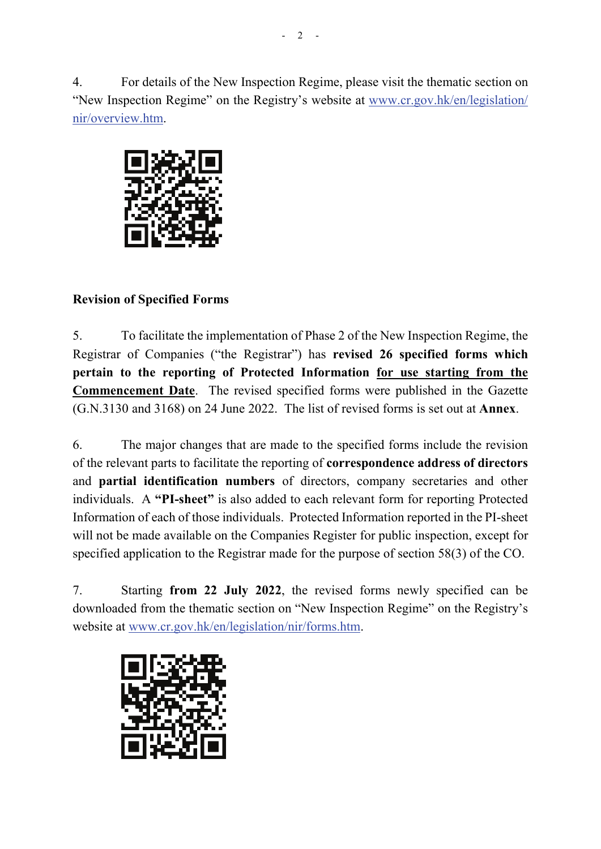4. For details of the New Inspection Regime, please visit the thematic section on "New Inspection Regime" on the Registry's website at [www.cr.gov.hk/en/legislation/](https://www.cr.gov.hk/en/legislation/nir/overview.htm)  [nir/overview.htm.](https://www.cr.gov.hk/en/legislation/nir/overview.htm) 



## **Revision of Specified Forms**

5. To facilitate the implementation of Phase 2 of the New Inspection Regime, the Registrar of Companies ("the Registrar") has **revised 26 specified forms which pertain to the reporting of Protected Information for use starting from the Commencement Date**. The revised specified forms were published in the Gazette (G.N.3130 and 3168) on 24 June 2022. The list of revised forms is set out at **Annex**.

6. The major changes that are made to the specified forms include the revision of the relevant parts to facilitate the reporting of **correspondence address of directors**  and **partial identification numbers** of directors, company secretaries and other individuals. A **"PI-sheet"** is also added to each relevant form for reporting Protected Information of each of those individuals. Protected Information reported in the PI-sheet will not be made available on the Companies Register for public inspection, except for specified application to the Registrar made for the purpose of section 58(3) of the CO.

7. Starting **from 22 July 2022**, the revised forms newly specified can be downloaded from the thematic section on "New Inspection Regime" on the Registry's website at [www.cr.gov.hk/en/legislation/nir/forms.htm.](https://www.cr.gov.hk/en/legislation/nir/forms.htm)

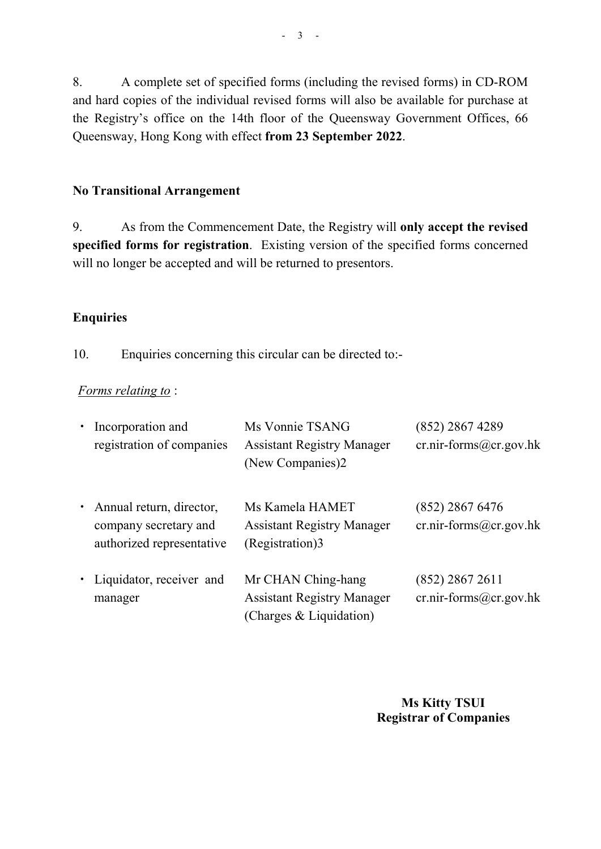8. A complete set of specified forms (including the revised forms) in CD-ROM and hard copies of the individual revised forms will also be available for purchase at the Registry's office on the 14th floor of the Queensway Government Offices, 66 Queensway, Hong Kong with effect **from 23 September 2022**.

#### **No Transitional Arrangement**

9. As from the Commencement Date, the Registry will **only accept the revised specified forms for registration**. Existing version of the specified forms concerned will no longer be accepted and will be returned to presentors.

#### **Enquiries**

10. Enquiries concerning this circular can be directed to:-

#### *Forms relating to* :

| • Incorporation and<br>registration of companies                                 | Ms Vonnie TSANG<br><b>Assistant Registry Manager</b><br>(New Companies)2           | (852) 2867 4289<br>$cr.nir-forms@cr.gov.hk$   |
|----------------------------------------------------------------------------------|------------------------------------------------------------------------------------|-----------------------------------------------|
| • Annual return, director,<br>company secretary and<br>authorized representative | Ms Kamela HAMET<br><b>Assistant Registry Manager</b><br>(Registration)3            | $(852)$ 2867 6476<br>$cr.nir-forms@cr.gov.hk$ |
| • Liquidator, receiver and<br>manager                                            | Mr CHAN Ching-hang<br><b>Assistant Registry Manager</b><br>(Charges & Liquidation) | $(852)$ 2867 2611<br>$cr.nir-forms@cr.gov.hk$ |

**Ms Kitty TSUI Registrar of Companies**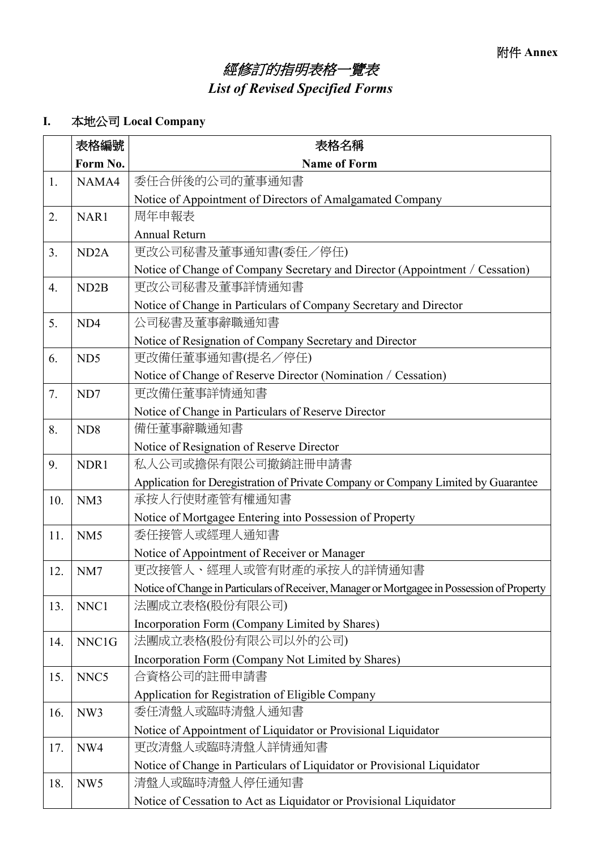# 經修訂的指明表格一覽表 *List of Revised Specified Forms*

## **I.** 本地公司 **Local Company**

|                  | 表格編號              | 表格名稱                                                                                        |  |
|------------------|-------------------|---------------------------------------------------------------------------------------------|--|
|                  | Form No.          | <b>Name of Form</b>                                                                         |  |
| 1.               | NAMA4             | 委任合併後的公司的董事通知書                                                                              |  |
|                  |                   | Notice of Appointment of Directors of Amalgamated Company                                   |  |
| 2.               | NAR1              | 周年申報表                                                                                       |  |
|                  |                   | <b>Annual Return</b>                                                                        |  |
| 3.               | ND <sub>2</sub> A | 更改公司秘書及董事通知書(委任/停任)                                                                         |  |
|                  |                   | Notice of Change of Company Secretary and Director (Appointment / Cessation)                |  |
| $\overline{4}$ . | ND <sub>2</sub> B | 更改公司秘書及董事詳情通知書                                                                              |  |
|                  |                   | Notice of Change in Particulars of Company Secretary and Director                           |  |
| 5.               | ND4               | 公司秘書及董事辭職通知書                                                                                |  |
|                  |                   | Notice of Resignation of Company Secretary and Director                                     |  |
| 6.               | ND <sub>5</sub>   | 更改備任董事通知書(提名/停任)                                                                            |  |
|                  |                   | Notice of Change of Reserve Director (Nomination / Cessation)                               |  |
| 7.               | ND7               | 更改備任董事詳情通知書                                                                                 |  |
|                  |                   | Notice of Change in Particulars of Reserve Director                                         |  |
| 8.               | ND <sub>8</sub>   | 備任董事辭職通知書                                                                                   |  |
|                  |                   | Notice of Resignation of Reserve Director                                                   |  |
| 9.               | NDR1              | 私人公司或擔保有限公司撤銷註冊申請書                                                                          |  |
|                  |                   | Application for Deregistration of Private Company or Company Limited by Guarantee           |  |
| 10.              | NM <sub>3</sub>   | 承按人行使財產管有權通知書                                                                               |  |
|                  |                   | Notice of Mortgagee Entering into Possession of Property                                    |  |
| 11.              | NM <sub>5</sub>   | 委任接管人或經理人通知書                                                                                |  |
|                  |                   | Notice of Appointment of Receiver or Manager                                                |  |
| 12.              | NM7               | 更改接管人、經理人或管有財產的承按人的詳情通知書                                                                    |  |
|                  |                   | Notice of Change in Particulars of Receiver, Manager or Mortgagee in Possession of Property |  |
| 13.              | NNC1              | 法團成立表格(股份有限公司)                                                                              |  |
|                  |                   | Incorporation Form (Company Limited by Shares)                                              |  |
| 14.              | NNC1G             | 法團成立表格(股份有限公司以外的公司)                                                                         |  |
|                  |                   | Incorporation Form (Company Not Limited by Shares)                                          |  |
| 15.              | NNC <sub>5</sub>  | 合資格公司的註冊申請書                                                                                 |  |
|                  |                   | Application for Registration of Eligible Company                                            |  |
| 16.              | NW3               | 委任清盤人或臨時清盤人通知書                                                                              |  |
|                  |                   | Notice of Appointment of Liquidator or Provisional Liquidator                               |  |
| 17.              | NW4               | 更改清盤人或臨時清盤人詳情通知書                                                                            |  |
|                  |                   | Notice of Change in Particulars of Liquidator or Provisional Liquidator                     |  |
| 18.              | NW <sub>5</sub>   | 清盤人或臨時清盤人停任通知書                                                                              |  |
|                  |                   | Notice of Cessation to Act as Liquidator or Provisional Liquidator                          |  |